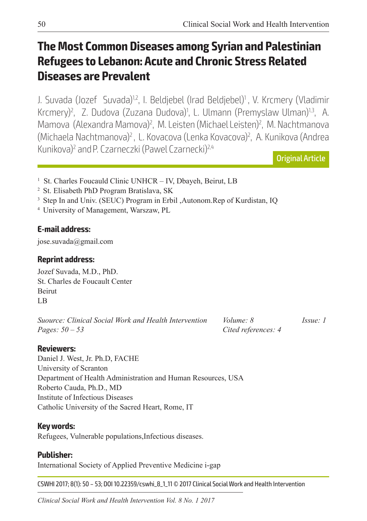# **The Most Common Diseases among Syrian and Palestinian Refugees to Lebanon: Acute and Chronic Stress Related Diseases are Prevalent**

J. Suvada (Jozef Suvada)<sup>1,2</sup>, I. Beldjebel (Irad Beldjebel)<sup>1</sup>, V. Krcmery (Vladimir Krcmery)<sup>2</sup>, Z. Dudova (Zuzana Dudova)<sup>1</sup>, L. Ulmann (Premyslaw Ulman)<sup>1,3</sup>, A. Mamova (Alexandra Mamova)<sup>2</sup>, M. Leisten (Michael Leisten)<sup>2</sup>, M. Nachtmanova (Michaela Nachtmanova)2 , L. Kovacova (Lenka Kovacova)2 , A. Kunikova (Andrea Kunikova)<sup>2</sup> and P. Czarneczki (Pawel Czarnecki)<sup>2,4</sup>

Original Article

- <sup>1</sup> St. Charles Foucauld Clinic UNHCR IV, Dbayeh, Beirut, LB
- 2 St. Elisabeth PhD Program Bratislava, SK
- <sup>3</sup> Step In and Univ. (SEUC) Program in Erbil ,Autonom.Rep of Kurdistan, IQ
- 4 University of Management, Warszaw, PL

## **E-mail address:**

jose.suvada@gmail.com

### **Reprint address:**

Jozef Suvada, M.D., PhD. St. Charles de Foucault Center Beirut LB

*Suource: Clinical Social Work and Health Intervention Volume: 8 Issue: 1 Pages: 50 – 53 Cited references: 4*

#### **Reviewers:**

Daniel J. West, Jr. Ph.D, FACHE University of Scranton Department of Health Administration and Human Resources, USA Roberto Cauda, Ph.D., MD Institute of Infectious Diseases Catholic University of the Sacred Heart, Rome, IT

#### **Key words:**

Refugees, Vulnerable populations,Infectious diseases.

#### **Publisher:**

International Society of Applied Preventive Medicine i-gap

CSWHI 2017; 8(1): 50 – 53; DOI 10.22359/cswhi\_8\_1\_11 © 2017 Clinical Social Work and Health Intervention

*Clinical Social Work and Health Intervention Vol. 8 No. 1 2017*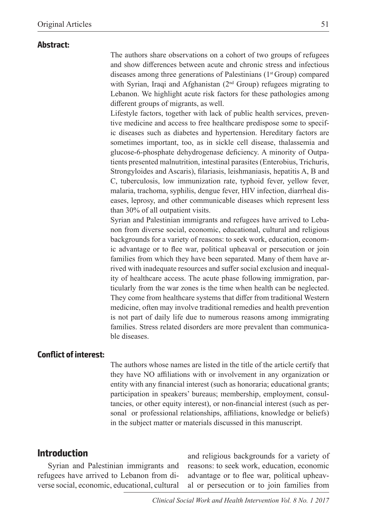#### **Abstract:**

The authors share observations on a cohort of two groups of refugees and show differences between acute and chronic stress and infectious diseases among three generations of Palestinians  $(1<sup>st</sup> Group)$  compared with Syrian, Iraqi and Afghanistan (2<sup>nd</sup> Group) refugees migrating to Lebanon. We highlight acute risk factors for these pathologies among different groups of migrants, as well.

Lifestyle factors, together with lack of public health services, preventive medicine and access to free healthcare predispose some to specific diseases such as diabetes and hypertension. Hereditary factors are sometimes important, too, as in sickle cell disease, thalassemia and glucose-6-phosphate dehydrogenase deficiency. A minority of Outpatients presented malnutrition, intestinal parasites (Enterobius, Trichuris, Strongyloides and Ascaris), filariasis, leishmaniasis, hepatitis A, B and C, tuberculosis, low immunization rate, typhoid fever, yellow fever, malaria, trachoma, syphilis, dengue fever, HIV infection, diarrheal diseases, leprosy, and other communicable diseases which represent less than 30% of all outpatient visits.

Syrian and Palestinian immigrants and refugees have arrived to Lebanon from diverse social, economic, educational, cultural and religious backgrounds for a variety of reasons: to seek work, education, economic advantage or to flee war, political upheaval or persecution or join families from which they have been separated. Many of them have arrived with inadequate resources and suffer social exclusion and inequality of healthcare access. The acute phase following immigration, particularly from the war zones is the time when health can be neglected. They come from healthcare systems that differ from traditional Western medicine, often may involve traditional remedies and health prevention is not part of daily life due to numerous reasons among immigrating families. Stress related disorders are more prevalent than communicable diseases.

#### **Conflict of interest:**

The authors whose names are listed in the title of the article certify that they have NO affiliations with or involvement in any organization or entity with any financial interest (such as honoraria; educational grants; participation in speakers' bureaus; membership, employment, consultancies, or other equity interest), or non-financial interest (such as personal or professional relationships, affiliations, knowledge or beliefs) in the subject matter or materials discussed in this manuscript.

#### **Introduction**

Syrian and Palestinian immigrants and refugees have arrived to Lebanon from diverse social, economic, educational, cultural

and religious backgrounds for a variety of reasons: to seek work, education, economic advantage or to flee war, political upheaval or persecution or to join families from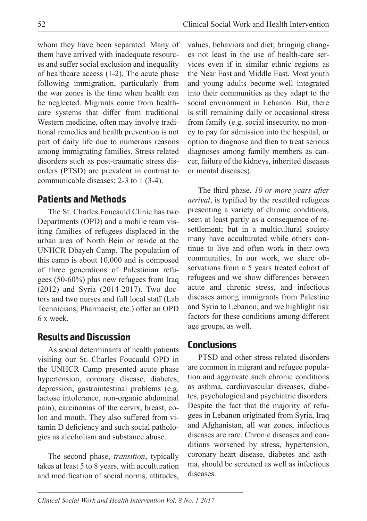whom they have been separated. Many of them have arrived with inadequate resources and suffer social exclusion and inequality of healthcare access (1-2). The acute phase following immigration, particularly from the war zones is the time when health can be neglected. Migrants come from healthcare systems that differ from traditional Western medicine, often may involve traditional remedies and health prevention is not part of daily life due to numerous reasons among immigrating families. Stress related disorders such as post-traumatic stress disorders (PTSD) are prevalent in contrast to communicable diseases: 2-3 to 1 (3-4).

## **Patients and Methods**

The St. Charles Foucauld Clinic has two Departments (OPD) and a mobile team visiting families of refugees displaced in the urban area of North Bein or reside at the UNHCR Dbayeh Camp. The population of this camp is about 10,000 and is composed of three generations of Palestinian refugees (50-60%) plus new refugees from Iraq (2012) and Syria (2014-2017). Two doctors and two nurses and full local staff (Lab Technicians, Pharmacist, etc.) offer an OPD 6 x week.

## **Results and Discussion**

As social determinants of health patients visiting our St. Charles Foucauld OPD in the UNHCR Camp presented acute phase hypertension, coronary disease, diabetes, depression, gastrointestinal problems (e.g. lactose intolerance, non-organic abdominal pain), carcinomas of the cervix, breast, colon and mouth. They also suffered from vitamin D deficiency and such social pathologies as alcoholism and substance abuse.

The second phase, *transition*, typically takes at least 5 to 8 years, with acculturation and modification of social norms, attitudes, values, behaviors and diet; bringing changes not least in the use of health-care services even if in similar ethnic regions as the Near East and Middle East. Most youth and young adults become well integrated into their communities as they adapt to the social environment in Lebanon. But, there is still remaining daily or occasional stress from family (e.g. social insecurity, no money to pay for admission into the hospital, or option to diagnose and then to treat serious diagnoses among family members as cancer, failure of the kidneys, inherited diseases or mental diseases).

The third phase, *10 or more years after arrival*, is typified by the resettled refugees presenting a variety of chronic conditions, seen at least partly as a consequence of resettlement; but in a multicultural society many have acculturated while others continue to live and often work in their own communities. In our work, we share observations from a 5 years treated cohort of refugees and we show differences between acute and chronic stress, and infectious diseases among immigrants from Palestine and Syria to Lebanon; and we highlight risk factors for these conditions among different age groups, as well.

## **Conclusions**

PTSD and other stress related disorders are common in migrant and refugee population and aggravate such chronic conditions as asthma, cardiovascular diseases, diabetes, psychological and psychiatric disorders. Despite the fact that the majority of refugees in Lebanon originated from Syria, Iraq and Afghanistan, all war zones, infectious diseases are rare. Chronic diseases and conditions worsened by stress, hypertension, coronary heart disease, diabetes and asthma, should be screened as well as infectious diseases.